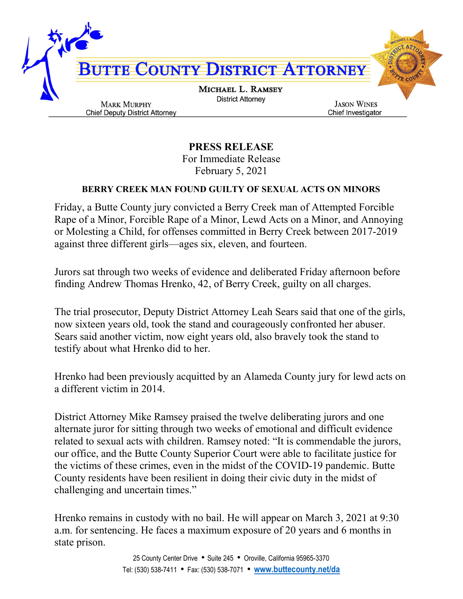

PRESS RELEASE For Immediate Release February 5, 2021

## BERRY CREEK MAN FOUND GUILTY OF SEXUAL ACTS ON MINORS

Friday, a Butte County jury convicted a Berry Creek man of Attempted Forcible Rape of a Minor, Forcible Rape of a Minor, Lewd Acts on a Minor, and Annoying or Molesting a Child, for offenses committed in Berry Creek between 2017-2019 against three different girls—ages six, eleven, and fourteen.

Jurors sat through two weeks of evidence and deliberated Friday afternoon before finding Andrew Thomas Hrenko, 42, of Berry Creek, guilty on all charges.

The trial prosecutor, Deputy District Attorney Leah Sears said that one of the girls, now sixteen years old, took the stand and courageously confronted her abuser. Sears said another victim, now eight years old, also bravely took the stand to testify about what Hrenko did to her.

Hrenko had been previously acquitted by an Alameda County jury for lewd acts on a different victim in 2014.

District Attorney Mike Ramsey praised the twelve deliberating jurors and one alternate juror for sitting through two weeks of emotional and difficult evidence related to sexual acts with children. Ramsey noted: "It is commendable the jurors, our office, and the Butte County Superior Court were able to facilitate justice for the victims of these crimes, even in the midst of the COVID-19 pandemic. Butte County residents have been resilient in doing their civic duty in the midst of challenging and uncertain times."

Hrenko remains in custody with no bail. He will appear on March 3, 2021 at 9:30 a.m. for sentencing. He faces a maximum exposure of 20 years and 6 months in state prison.